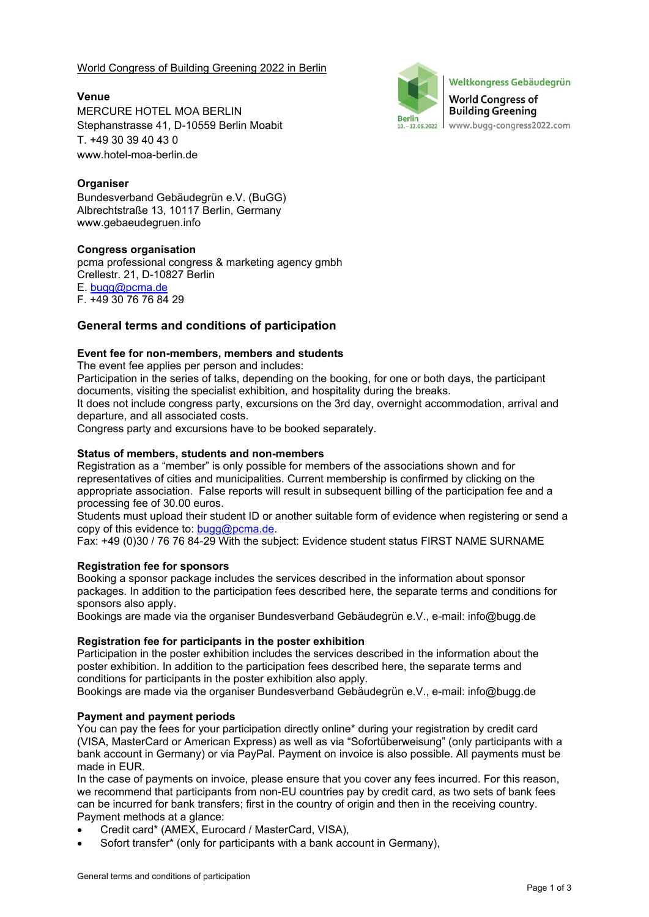World Congress of Building Greening 2022 in Berlin

Weltkongress Gebäudegrün **World Congress of Building Greening Berlin** www.bugg-congress2022.com  $10, -12, 05, 2022$ 

**Venue**  MERCURE HOTEL MOA BERLIN Stephanstrasse 41, D-10559 Berlin Moabit T. +49 30 39 40 43 0 www.hotel-moa-berlin.de

# **Organiser**

Bundesverband Gebäudegrün e.V. (BuGG) Albrechtstraße 13, 10117 Berlin, Germany www.gebaeudegruen.info

#### **Congress organisation**

pcma professional congress & marketing agency gmbh Crellestr. 21, D-10827 Berlin E. bugg@pcma.de F. +49 30 76 76 84 29

# **General terms and conditions of participation**

# **Event fee for non-members, members and students**

The event fee applies per person and includes:

Participation in the series of talks, depending on the booking, for one or both days, the participant documents, visiting the specialist exhibition, and hospitality during the breaks.

It does not include congress party, excursions on the 3rd day, overnight accommodation, arrival and departure, and all associated costs.

Congress party and excursions have to be booked separately.

#### **Status of members, students and non-members**

Registration as a "member" is only possible for members of the associations shown and for representatives of cities and municipalities. Current membership is confirmed by clicking on the appropriate association. False reports will result in subsequent billing of the participation fee and a processing fee of 30.00 euros.

Students must upload their student ID or another suitable form of evidence when registering or send a copy of this evidence to: bugg@pcma.de.

Fax: +49 (0)30 / 76 76 84-29 With the subject: Evidence student status FIRST NAME SURNAME

# **Registration fee for sponsors**

Booking a sponsor package includes the services described in the information about sponsor packages. In addition to the participation fees described here, the separate terms and conditions for sponsors also apply.

Bookings are made via the organiser Bundesverband Gebäudegrün e.V., e-mail: info@bugg.de

#### **Registration fee for participants in the poster exhibition**

Participation in the poster exhibition includes the services described in the information about the poster exhibition. In addition to the participation fees described here, the separate terms and conditions for participants in the poster exhibition also apply.

Bookings are made via the organiser Bundesverband Gebäudegrün e.V., e-mail: info@bugg.de

# **Payment and payment periods**

You can pay the fees for your participation directly online\* during your registration by credit card (VISA, MasterCard or American Express) as well as via "Sofortüberweisung" (only participants with a bank account in Germany) or via PayPal. Payment on invoice is also possible. All payments must be made in EUR.

In the case of payments on invoice, please ensure that you cover any fees incurred. For this reason, we recommend that participants from non-EU countries pay by credit card, as two sets of bank fees can be incurred for bank transfers; first in the country of origin and then in the receiving country. Payment methods at a glance:

- Credit card\* (AMEX, Eurocard / MasterCard, VISA),
- Sofort transfer\* (only for participants with a bank account in Germany),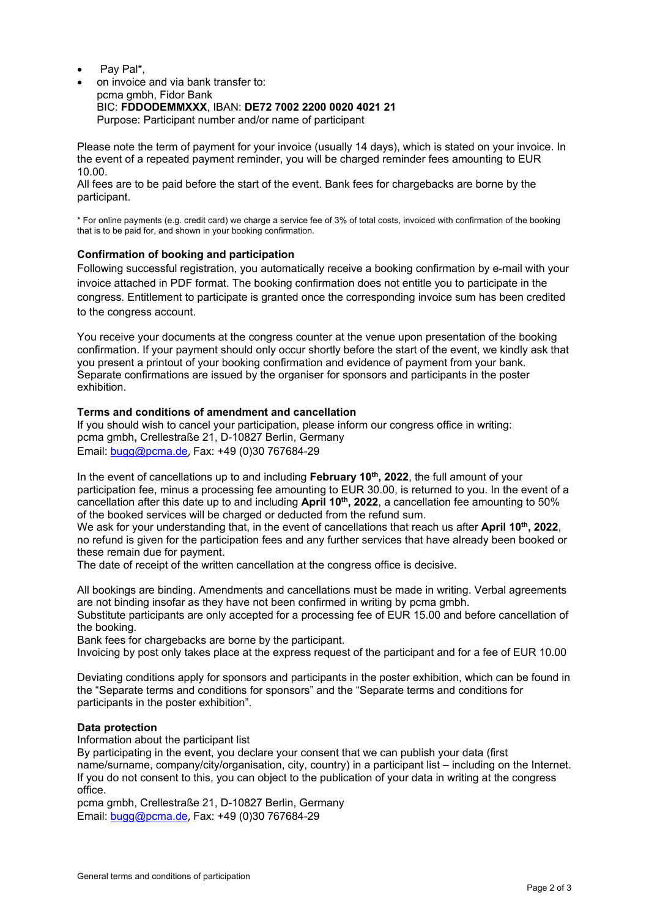- Pay Pal\*,
- on invoice and via bank transfer to: pcma gmbh, Fidor Bank BIC: **FDDODEMMXXX**, IBAN: **DE72 7002 2200 0020 4021 21** Purpose: Participant number and/or name of participant

Please note the term of payment for your invoice (usually 14 days), which is stated on your invoice. In the event of a repeated payment reminder, you will be charged reminder fees amounting to EUR 10.00.

All fees are to be paid before the start of the event. Bank fees for chargebacks are borne by the participant.

\* For online payments (e.g. credit card) we charge a service fee of 3% of total costs, invoiced with confirmation of the booking that is to be paid for, and shown in your booking confirmation.

### **Confirmation of booking and participation**

Following successful registration, you automatically receive a booking confirmation by e-mail with your invoice attached in PDF format. The booking confirmation does not entitle you to participate in the congress. Entitlement to participate is granted once the corresponding invoice sum has been credited to the congress account.

You receive your documents at the congress counter at the venue upon presentation of the booking confirmation. If your payment should only occur shortly before the start of the event, we kindly ask that you present a printout of your booking confirmation and evidence of payment from your bank. Separate confirmations are issued by the organiser for sponsors and participants in the poster exhibition.

#### **Terms and conditions of amendment and cancellation**

If you should wish to cancel your participation, please inform our congress office in writing: pcma gmbh**,** Crellestraße 21, D-10827 Berlin, Germany Email: bugg@pcma.de, Fax: +49 (0)30 767684-29

In the event of cancellations up to and including **February 10th, 2022**, the full amount of your participation fee, minus a processing fee amounting to EUR 30.00, is returned to you. In the event of a cancellation after this date up to and including **April 10th, 2022**, a cancellation fee amounting to 50% of the booked services will be charged or deducted from the refund sum.

We ask for your understanding that, in the event of cancellations that reach us after **April 10th**, 2022, no refund is given for the participation fees and any further services that have already been booked or these remain due for payment.

The date of receipt of the written cancellation at the congress office is decisive.

All bookings are binding. Amendments and cancellations must be made in writing. Verbal agreements are not binding insofar as they have not been confirmed in writing by pcma gmbh.

Substitute participants are only accepted for a processing fee of EUR 15.00 and before cancellation of the booking.

Bank fees for chargebacks are borne by the participant.

Invoicing by post only takes place at the express request of the participant and for a fee of EUR 10.00

Deviating conditions apply for sponsors and participants in the poster exhibition, which can be found in the "Separate terms and conditions for sponsors" and the "Separate terms and conditions for participants in the poster exhibition".

# **Data protection**

Information about the participant list

By participating in the event, you declare your consent that we can publish your data (first name/surname, company/city/organisation, city, country) in a participant list – including on the Internet. If you do not consent to this, you can object to the publication of your data in writing at the congress office.

pcma gmbh, Crellestraße 21, D-10827 Berlin, Germany Email: bugg@pcma.de, Fax: +49 (0)30 767684-29